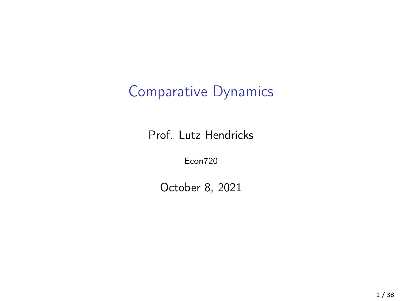# Comparative Dynamics

Prof. Lutz Hendricks

Econ720

October 8, 2021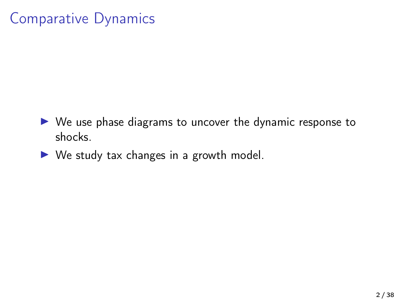# Comparative Dynamics

- $\triangleright$  We use phase diagrams to uncover the dynamic response to shocks.
- $\triangleright$  We study tax changes in a growth model.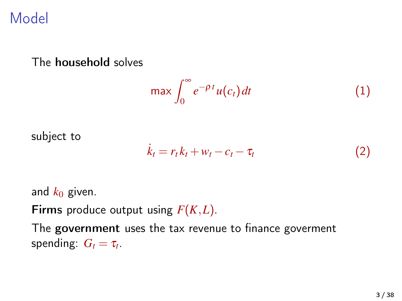Model

The household solves

$$
\max \int_0^\infty e^{-\rho \, t} u(c_t) \, dt \tag{1}
$$

subject to

$$
\dot{k}_t = r_t k_t + w_t - c_t - \tau_t \tag{2}
$$

and  $k_0$  given. Firms produce output using *F*(*K*,*L*). The government uses the tax revenue to finance goverment  ${\sf spending:}\ \ G_t=\tau_t.$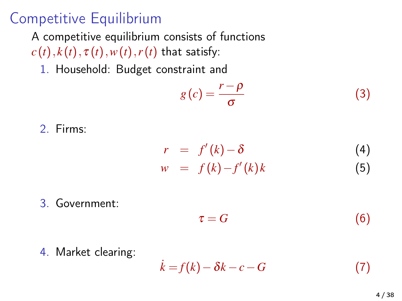# Competitive Equilibrium

A competitive equilibrium consists of functions  $c(t)$ ,  $k(t)$ ,  $\tau(t)$ ,  $w(t)$ ,  $r(t)$  that satisfy:

1. Household: Budget constraint and

$$
g(c) = \frac{r - \rho}{\sigma} \tag{3}
$$

2. Firms:

$$
r = f'(k) - \delta
$$
  
\n
$$
w = f(k) - f'(k)k
$$
\n(4)

3. Government:

$$
\tau = G \tag{6}
$$

4. Market clearing:

$$
\dot{k} = f(k) - \delta k - c - G \tag{7}
$$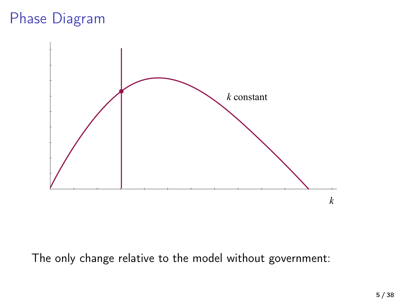# Phase Diagram *c*



The only change relative to the model without government: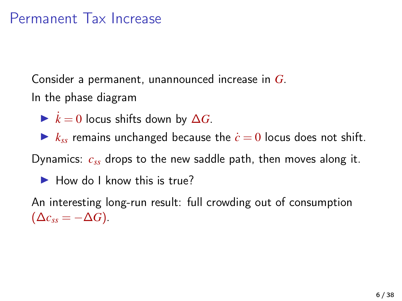### Permanent Tax Increase

Consider a permanent, unannounced increase in *G*. In the phase diagram

 $\triangleright$  *k* = 0 locus shifts down by  $\Delta G$ .

 $\blacktriangleright$   $k_{ss}$  remains unchanged because the  $\dot{c}=0$  locus does not shift.

Dynamics: *css* drops to the new saddle path, then moves along it.

 $\blacktriangleright$  How do I know this is true?

An interesting long-run result: full crowding out of consumption  $(\Delta c_{ss} = -\Delta G)$ .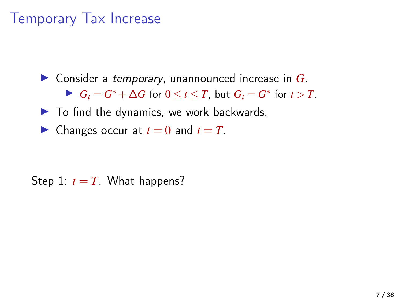$\triangleright$  Consider a temporary, unannounced increase in  $G$ . ►  $G_t = G^* + \Delta G$  for  $0 \le t \le T$ , but  $G_t = G^*$  for  $t > T$ .

 $\blacktriangleright$  To find the dynamics, we work backwards.

 $\blacktriangleright$  Changes occur at  $t = 0$  and  $t = T$ .

Step 1:  $t = T$ . What happens?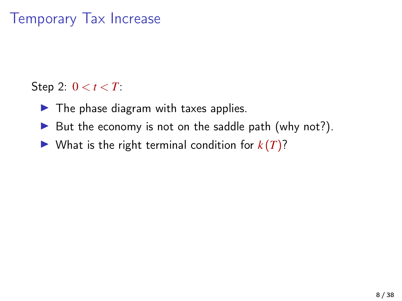Step 2:  $0 < t < T$ :

- $\blacktriangleright$  The phase diagram with taxes applies.
- But the economy is not on the saddle path (why not?).
- $\triangleright$  What is the right terminal condition for  $k(T)$ ?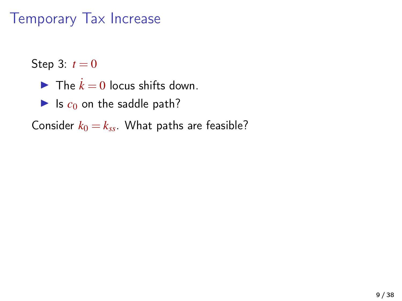Step 3:  $t=0$ 

- $\blacktriangleright$  The  $\dot{k} = 0$  locus shifts down.
- $\blacktriangleright$  Is  $c_0$  on the saddle path?

Consider  $k_0 = k_{ss}$ . What paths are feasible?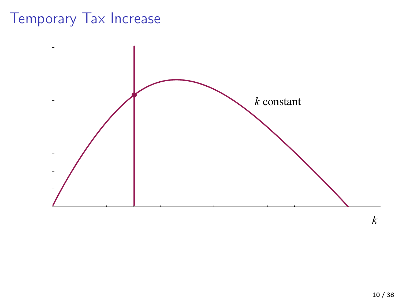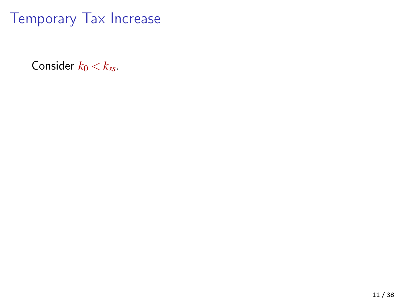Consider  $k_0 < k_{ss}$ .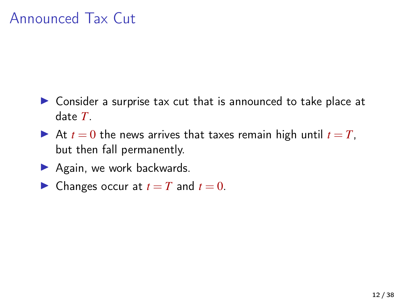- $\triangleright$  Consider a surprise tax cut that is announced to take place at date *T*.
- At  $t = 0$  the news arrives that taxes remain high until  $t = T$ , but then fall permanently.
- $\blacktriangleright$  Again, we work backwards.
- $\blacktriangleright$  Changes occur at  $t = T$  and  $t = 0$ .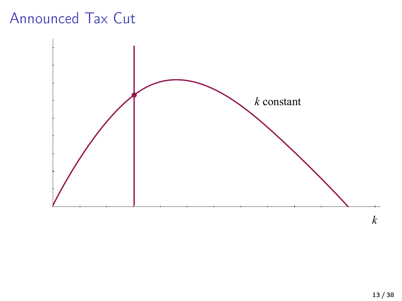# Announced Tax Cut *c*

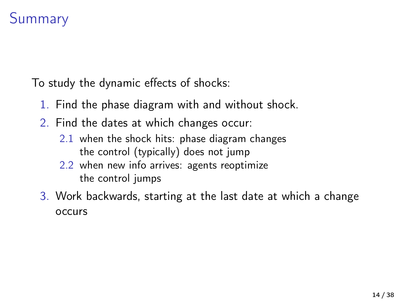# Summary

To study the dynamic effects of shocks:

- 1. Find the phase diagram with and without shock.
- 2. Find the dates at which changes occur:
	- 2.1 when the shock hits: phase diagram changes the control (typically) does not jump
	- 2.2 when new info arrives: agents reoptimize the control jumps
- 3. Work backwards, starting at the last date at which a change occurs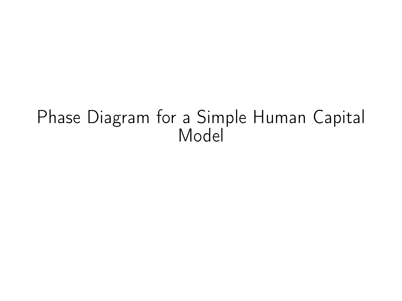# Phase Diagram for a Simple Human Capital Model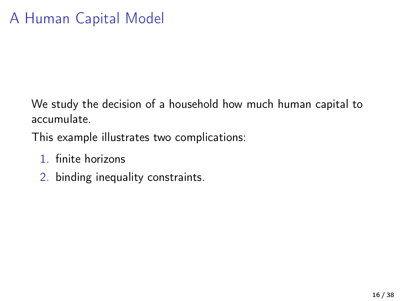We study the decision of a household how much human capital to accumulate.

This example illustrates two complications:

- 1. finite horizons
- 2. binding inequality constraints.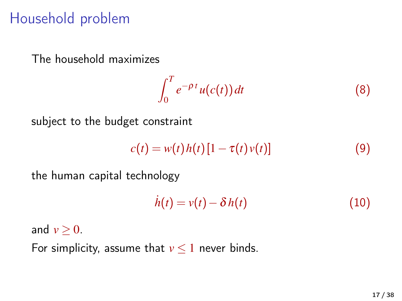# Household problem

The household maximizes

$$
\int_0^T e^{-\rho t} u(c(t)) dt
$$
 (8)

subject to the budget constraint

$$
c(t) = w(t)h(t)[1 - \tau(t)v(t)]
$$
\n(9)

the human capital technology

$$
\dot{h}(t) = v(t) - \delta h(t) \tag{10}
$$

and  $v \geq 0$ .

For simplicity, assume that  $v \le 1$  never binds.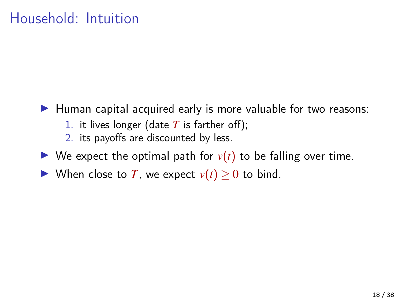# Household: Intuition

- $\blacktriangleright$  Human capital acquired early is more valuable for two reasons:
	- 1. it lives longer (date *T* is farther off);
	- 2. its payoffs are discounted by less.
- $\triangleright$  We expect the optimal path for  $v(t)$  to be falling over time.
- ▶ When close to *T*, we expect  $v(t) \ge 0$  to bind.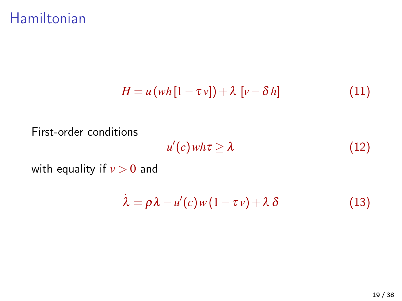### Hamiltonian

$$
H = u\left( wh\left[1 - \tau v\right]\right) + \lambda \left[v - \delta h\right] \tag{11}
$$

First-order conditions

$$
u'(c)wh\tau \geq \lambda \tag{12}
$$

with equality if  $v > 0$  and

$$
\dot{\lambda} = \rho \lambda - u'(c) w (1 - \tau v) + \lambda \delta \tag{13}
$$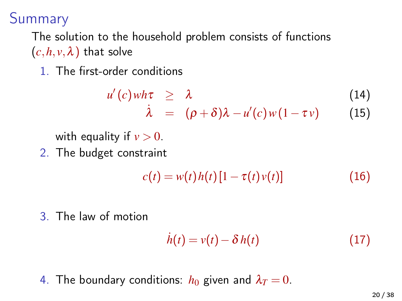Summary

The solution to the household problem consists of functions  $(c, h, v, \lambda)$  that solve

1. The first-order conditions

$$
u'(c)wh\tau \geq \lambda \qquad (14)
$$

$$
\dot{\lambda} = (\rho + \delta)\lambda - u'(c)w(1 - \tau v) \qquad (15)
$$

with equality if  $v > 0$ .

2. The budget constraint

$$
c(t) = w(t) h(t) [1 - \tau(t) v(t)] \tag{16}
$$

3. The law of motion

$$
\dot{h}(t) = v(t) - \delta h(t) \tag{17}
$$

4. The boundary conditions:  $h_0$  given and  $\lambda_T = 0$ .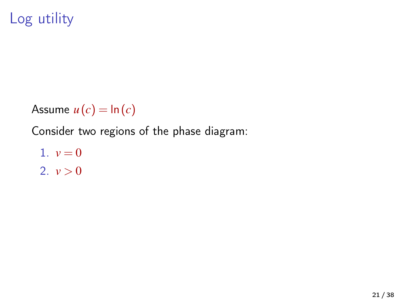# Log utility

Assume  $u(c) = \ln(c)$ 

Consider two regions of the phase diagram:

$$
1. \ v = 0
$$

$$
2. \ v > 0
$$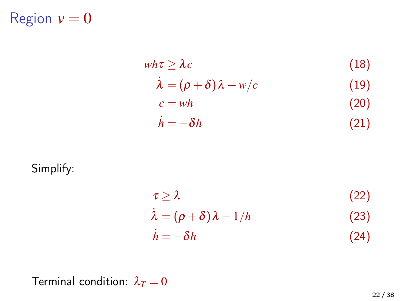### Region  $v = 0$

$$
wh\tau \ge \lambda c
$$
\n
$$
\lambda = (\rho + \delta)\lambda - w/c
$$
\n
$$
c = wh
$$
\n(19)\n
$$
i = -\delta t
$$
\n(20)

$$
\dot{h} = -\delta h \tag{21}
$$

#### Simplify:

$$
\tau \geq \lambda \tag{22}
$$

$$
\dot{\lambda} = (\rho + \delta)\lambda - 1/h \tag{23}
$$

$$
\dot{h} = -\delta h \tag{24}
$$

Terminal condition:  $\lambda_T = 0$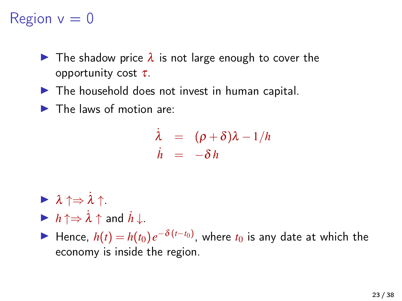## Region  $v = 0$

- $\triangleright$  The shadow price  $\lambda$  is not large enough to cover the opportunity cost  $\tau$ .
- $\blacktriangleright$  The household does not invest in human capital.
- $\blacktriangleright$  The laws of motion are:

$$
\begin{array}{rcl}\n\dot{\lambda} & = & (\rho + \delta)\lambda - 1/h \\
\dot{h} & = & -\delta h\n\end{array}
$$

- $\blacktriangleright$   $\lambda \uparrow \Rightarrow \lambda \uparrow$ .
- $\blacktriangleright$   $h \uparrow \Rightarrow \lambda \uparrow$  and  $h \downarrow$ .
- ► Hence,  $h(t) = h(t_0) e^{-\delta (t-t_0)}$ , where  $t_0$  is any date at which the economy is inside the region.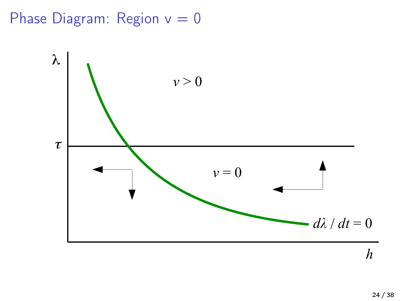Phase Diagram: Region  $v = 0$ 



*h*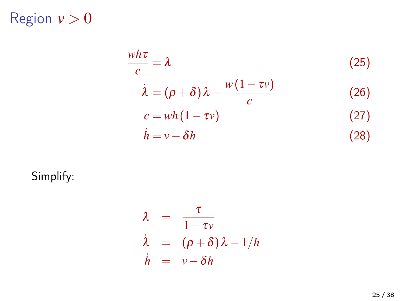Region  $v > 0$ 

$$
\frac{wh\tau}{c} = \lambda
$$
\n
$$
\dot{\lambda} = (\rho + \delta)\lambda - \frac{w(1 - \tau v)}{c}
$$
\n
$$
c = wh(1 - \tau v)
$$
\n
$$
\dot{h} = v - \delta h
$$
\n(28)

Simplify:

$$
\lambda = \frac{\tau}{1 - \tau v}
$$
  
\n
$$
\lambda = (\rho + \delta)\lambda - 1/h
$$
  
\n
$$
\dot{h} = v - \delta h
$$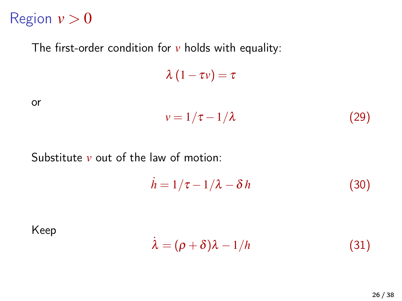### Region  $v > 0$

The first-order condition for  $\nu$  holds with equality:

 $\lambda(1-\tau v) = \tau$ 

or

$$
v = 1/\tau - 1/\lambda \tag{29}
$$

Substitute *v* out of the law of motion:

$$
\dot{h} = 1/\tau - 1/\lambda - \delta h \tag{30}
$$

Keep

$$
\dot{\lambda} = (\rho + \delta)\lambda - 1/h \tag{31}
$$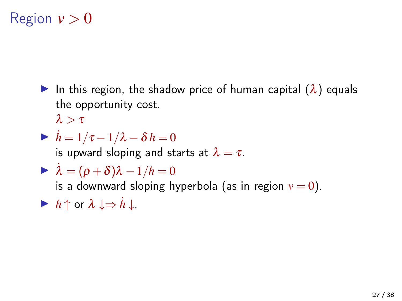# Region  $v > 0$

In this region, the shadow price of human capital  $(\lambda)$  equals the opportunity cost.

 $\lambda > \tau$ 

 $\blacktriangleright$   $\dot{h} = 1/\tau - 1/\lambda - \delta h = 0$ 

is upward sloping and starts at  $\lambda = \tau$ .

$$
\blacktriangleright \dot{\lambda} = (\rho + \delta)\lambda - 1/h = 0
$$

is a downward sloping hyperbola (as in region  $v = 0$ ).

 $\blacktriangleright$  *h*  $\uparrow$  or  $\lambda \downarrow \Rightarrow h \downarrow$ .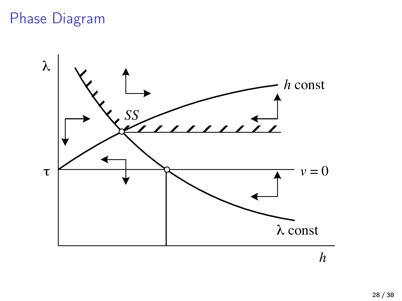# Phase Diagram

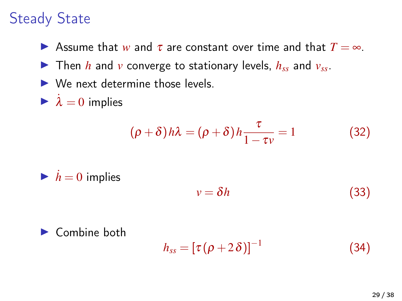# Steady State

- **If** Assume that *w* and  $\tau$  are constant over time and that  $T = \infty$ .
- $\triangleright$  Then *h* and *v* converge to stationary levels,  $h_{ss}$  and  $v_{ss}$ .
- $\blacktriangleright$  We next determine those levels.
- $\lambda = 0$  implies

$$
(\rho + \delta) h\lambda = (\rho + \delta) h \frac{\tau}{1 - \tau v} = 1
$$
 (32)

 $\blacktriangleright$   $\dot{h} = 0$  implies

$$
v = \delta h \tag{33}
$$

 $\blacktriangleright$  Combine both

$$
h_{ss} = \left[\tau(\rho+2\delta)\right]^{-1} \tag{34}
$$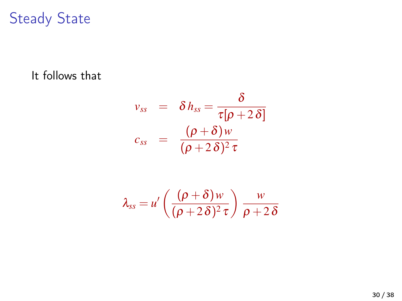# Steady State

It follows that

$$
v_{ss} = \delta h_{ss} = \frac{\delta}{\tau[\rho + 2\delta]}
$$

$$
c_{ss} = \frac{(\rho + \delta)w}{(\rho + 2\delta)^2 \tau}
$$

$$
\lambda_{ss} = u' \left( \frac{(\rho + \delta) w}{(\rho + 2 \delta)^2 \tau} \right) \frac{w}{\rho + 2 \delta}
$$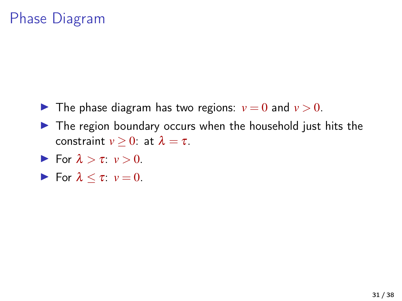# Phase Diagram

- In The phase diagram has two regions:  $v = 0$  and  $v > 0$ .
- $\blacktriangleright$  The region boundary occurs when the household just hits the constraint  $v \geq 0$ : at  $\lambda = \tau$ .
- **For**  $\lambda > \tau$ :  $v > 0$ .
- **For**  $\lambda \leq \tau$ :  $v = 0$ .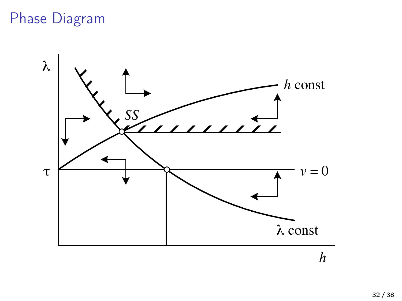# Phase Diagram

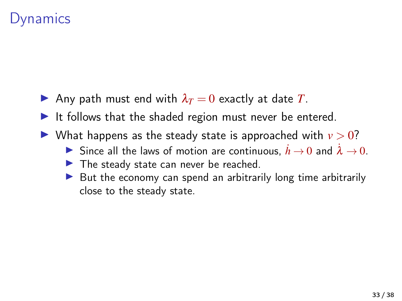- Any path must end with  $\lambda_T = 0$  exactly at date T.
- It follows that the shaded region must never be entered.
- $\triangleright$  What happens as the steady state is approached with  $v > 0$ ?
	- **If** Since all the laws of motion are continuous,  $h \to 0$  and  $\lambda \to 0$ .
	- $\blacktriangleright$  The steady state can never be reached.
	- $\triangleright$  But the economy can spend an arbitrarily long time arbitrarily close to the steady state.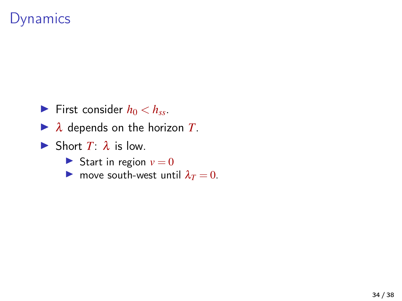- First consider  $h_0 < h_{ss}$ .
- $\blacktriangleright$   $\lambda$  depends on the horizon *T*.
- Short  $T: \lambda$  is low.
	- Start in region  $v = 0$
	- **If** move south-west until  $\lambda_T = 0$ .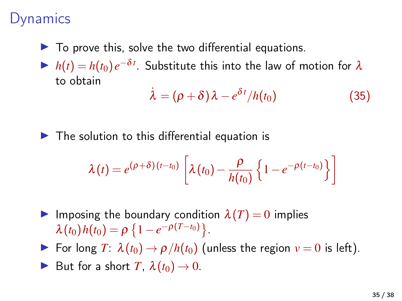$\blacktriangleright$  To prove this, solve the two differential equations.

 $\blacktriangleright$  *h*(*t*) = *h*(*t*<sub>0</sub>) *e*<sup>−δ*t*</sup>. Substitute this into the law of motion for λ to obtain

$$
\dot{\lambda} = (\rho + \delta) \lambda - e^{\delta t} / h(t_0)
$$
\n(35)

 $\blacktriangleright$  The solution to this differential equation is

$$
\lambda(t) = e^{(\rho+\delta)(t-t_0)} \left[ \lambda(t_0) - \frac{\rho}{h(t_0)} \left\{ 1 - e^{-\rho(t-t_0)} \right\} \right]
$$

Imposing the boundary condition  $\lambda(T) = 0$  implies  $\lambda(t_0)h(t_0) = \rho\left\{1-e^{-\rho(T-t_0)}\right\}.$ 

 $\triangleright$  For long *T*:  $\lambda(t_0)$  →  $\rho/h(t_0)$  (unless the region  $v = 0$  is left).

► But for a short *T*, 
$$
\lambda(t_0) \rightarrow 0
$$
.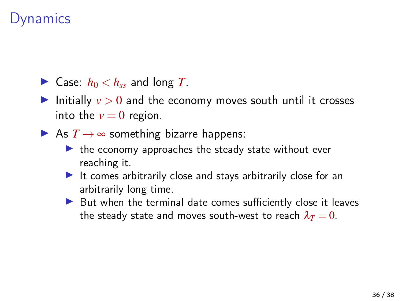$\blacktriangleright$  Case:  $h_0 < h_{ss}$  and long *T*.

- Initially  $v > 0$  and the economy moves south until it crosses into the  $v = 0$  region.
- As  $T \rightarrow \infty$  something bizarre happens:
	- $\blacktriangleright$  the economy approaches the steady state without ever reaching it.
	- $\blacktriangleright$  It comes arbitrarily close and stays arbitrarily close for an arbitrarily long time.
	- $\triangleright$  But when the terminal date comes sufficiently close it leaves the steady state and moves south-west to reach  $\lambda_T = 0$ .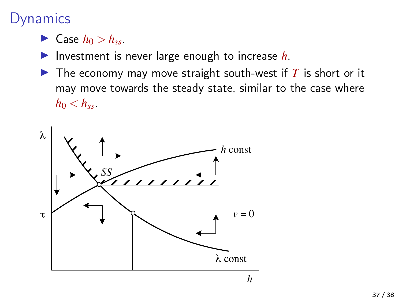- $\blacktriangleright$  Case  $h_0 > h_{ss}$ .
- Investment is never large enough to increase  $h$ .
- $\blacktriangleright$  The economy may move straight south-west if  $T$  is short or it may move towards the steady state, similar to the case where  $h_0 < h_{ss}$ .